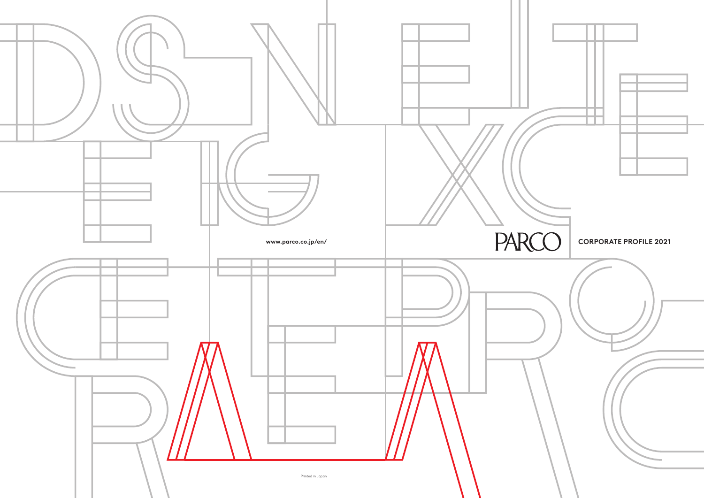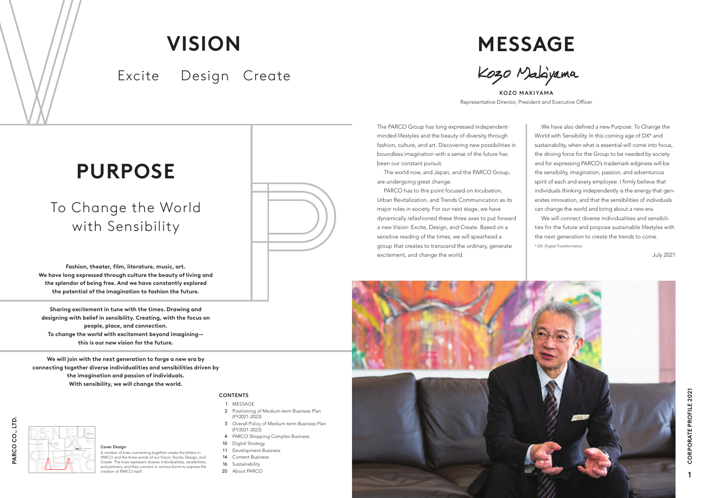The PARCO Group has long expressed independentminded lifestyles and the beauty of diversity through fashion, culture, and art. Discovering new possibilities in boundless imagination with a sense of the future has been our constant pursuit.

The world now, and Japan, and the PARCO Group, are undergoing great change.

PARCO has to this point focused on Incubation, Urban Revitalization, and Trends Communication as its major roles in society. For our next stage, we have dynamically refashioned these three axes to put forward a new Vision: Excite, Design, and Create. Based on a sensitive reading of the times, we will spearhead a group that creates to transcend the ordinary, generate excitement, and change the world.



A number of lines connecting together create the letters in PARCO and the three words of our Vision: Excite, Design, and Create. The lines represent diverse individualities, sensibilities, and partners, and they connect in various forms to express the  $\overline{\text{c}\text{r}}$ extion of PARCO itself

**Sharing excitement in tune with the times. Drawing and designing with belief in sensibility. Creating, with the focus on people, place, and connection. To change the world with excitement beyond imagining this is our new vision for the future.**

**MESSAGE** Kozo Malayama

**Fashion, theater, film, literature, music, art. We have long expressed through culture the beauty of living and the splendor of being free. And we have constantly explored the potential of the imagination to fashion the future.**

**We will join with the next generation to forge a new era by connecting together diverse individualities and sensibilities driven by the imagination and passion of individuals. With sensibility, we will change the world.**

#### Cover Design

# **WEIGHT AND CORPORATE PROFILE 2021**

KOZO MAKIYAMA Representative Director, President and Executive Officer

We have also defined a new Purpose: To Change the World with Sensibility. In this coming age of DX\* and sustainability, when what is essential will come into focus, the driving force for the Group to be needed by society and for expressing PARCO's trademark edginess will be the sensibility, imagination, passion, and adventurous spirit of each and every employee. I firmly believe that individuals thinking independently is the energy that generates innovation, and that the sensibilities of individuals can change the world and bring about a new era.

We will connect diverse individualities and sensibilities for the future and propose sustainable lifestyles with the next generation to create the trends to come. \* DX: Digital Transformation

July 2021

## **PURPOSE**

## To Change the World with Sensibility



# **VISION**

Excite Design Create

#### **CONTENTS**

- 1 MESSAGE
- 2 Positioning of Medium-term Business Plan (FY2021-2023)
- 3 Overall Policy of Medium-term Business Plan (FY2021-2023)
- 4 PARCO Shopping Complex Business
- 10 Digital Strategy
- 11 Development Business
- 14 Content Business
- 16 Sustainability
- 20 About PARCO

**1**